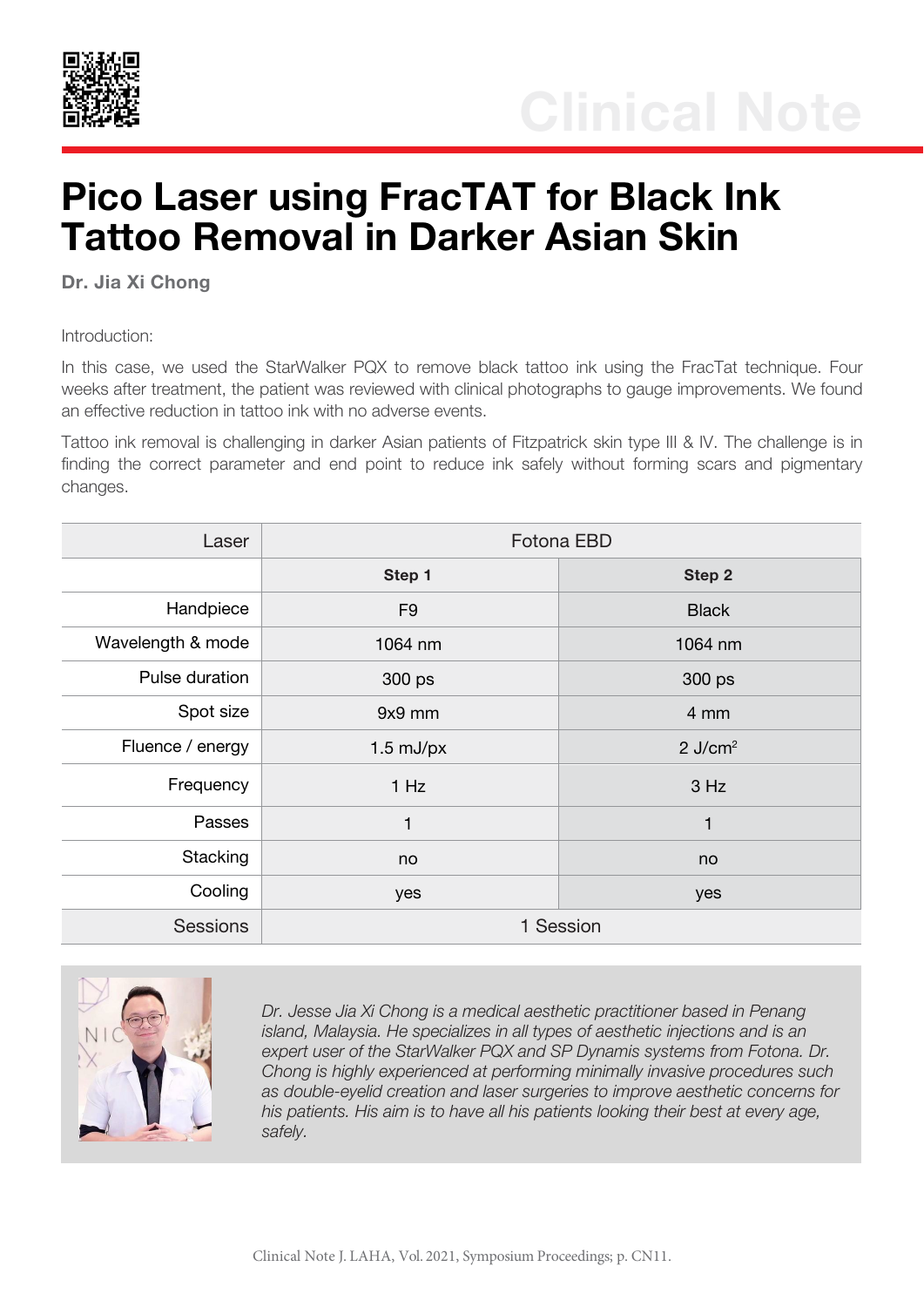

## Pico Laser using FracTAT for Black Ink Tattoo Removal in Darker Asian Skin

Dr. Jia Xi Chong

Introduction:

In this case, we used the StarWalker PQX to remove black tattoo ink using the FracTat technique. Four weeks after treatment, the patient was reviewed with clinical photographs to gauge improvements. We found an effective reduction in tattoo ink with no adverse events.

Tattoo ink removal is challenging in darker Asian patients of Fitzpatrick skin type III & IV. The challenge is in finding the correct parameter and end point to reduce ink safely without forming scars and pigmentary changes.

| Laser             | Fotona EBD     |                       |
|-------------------|----------------|-----------------------|
|                   | Step 1         | Step 2                |
| Handpiece         | F <sub>9</sub> | <b>Black</b>          |
| Wavelength & mode | 1064 nm        | 1064 nm               |
| Pulse duration    | 300 ps         | 300 ps                |
| Spot size         | $9x9$ mm       | 4 mm                  |
| Fluence / energy  | $1.5$ mJ/px    | $2$ J/cm <sup>2</sup> |
| Frequency         | 1 Hz           | 3 Hz                  |
| Passes            | 1              | 1                     |
| Stacking          | no             | no                    |
| Cooling           | yes            | yes                   |
| <b>Sessions</b>   | 1 Session      |                       |



*Dr. Jesse Jia Xi Chong is a medical aesthetic practitioner based in Penang island, Malaysia. He specializes in all types of aesthetic injections and is an expert user of the StarWalker PQX and SP Dynamis systems from Fotona. Dr. Chong is highly experienced at performing minimally invasive procedures such as double-eyelid creation and laser surgeries to improve aesthetic concerns for his patients. His aim is to have all his patients looking their best at every age, safely.*